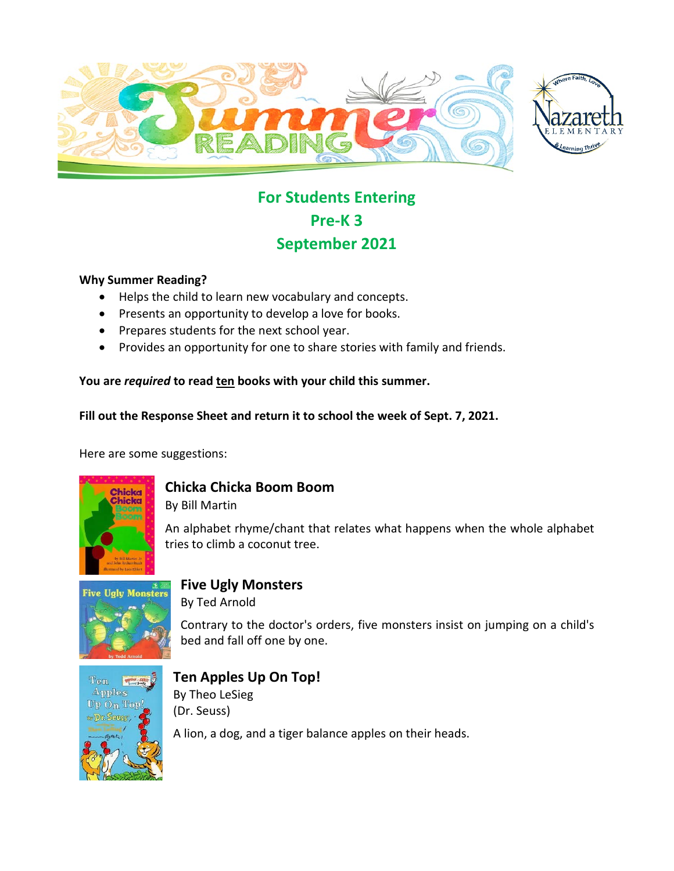



# **For Students Entering Pre-K 3 September 2021**

#### **Why Summer Reading?**

- Helps the child to learn new vocabulary and concepts.
- Presents an opportunity to develop a love for books.
- Prepares students for the next school year.
- Provides an opportunity for one to share stories with family and friends.

**You are** *required* **to read ten books with your child this summer.** 

**Fill out the Response Sheet and return it to school the week of Sept. 7, 2021.** 

Here are some suggestions:



## **Chicka Chicka Boom Boom**

By Bill Martin

An alphabet rhyme/chant that relates what happens when the whole alphabet tries to climb a coconut tree.



## **Five Ugly Monsters**

By Ted Arnold

Contrary to the doctor's orders, five monsters insist on jumping on a child's bed and fall off one by one.



### **Ten Apples Up On Top!**

By Theo LeSieg (Dr. Seuss)

A lion, a dog, and a tiger balance apples on their heads.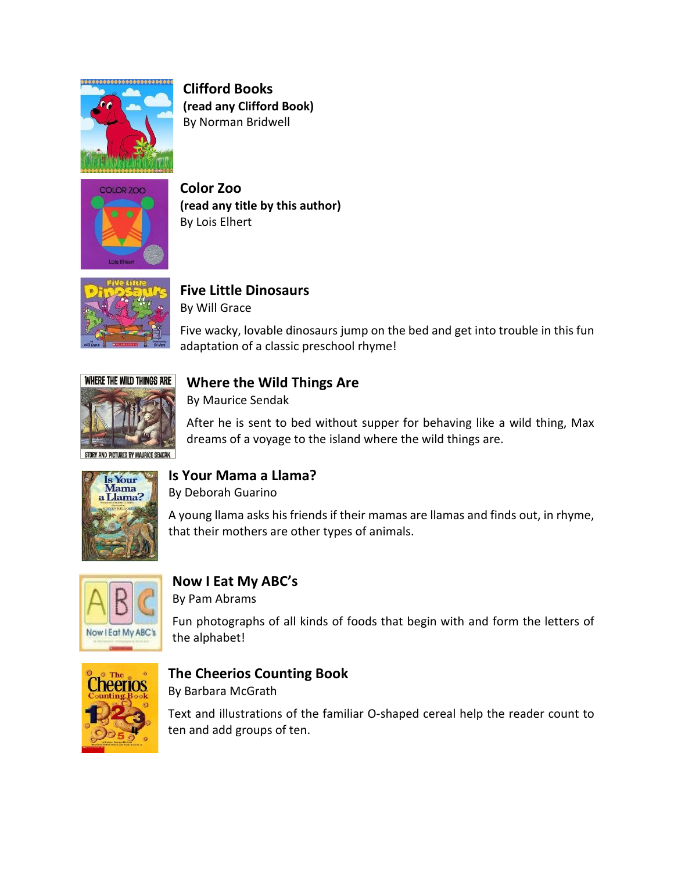

**Clifford Books (read any Clifford Book)**  By Norman Bridwell



**Color Zoo (read any title by this author)**  By Lois Elhert



**Five Little Dinosaurs**  By Will Grace

Five wacky, lovable dinosaurs jump on the bed and get into trouble in this fun adaptation of a classic preschool rhyme!



## **Where the Wild Things Are**

By Maurice Sendak

After he is sent to bed without supper for behaving like a wild thing, Max dreams of a voyage to the island where the wild things are.

AND PICTURES BY MAURICE SENDAI



### **Is Your Mama a Llama?**

By Deborah Guarino

A young llama asks his friends if their mamas are llamas and finds out, in rhyme, that their mothers are other types of animals.



## **Now I Eat My ABC's**

By Pam Abrams

Fun photographs of all kinds of foods that begin with and form the letters of the alphabet!



## **The Cheerios Counting Book**

By Barbara McGrath

Text and illustrations of the familiar O-shaped cereal help the reader count to ten and add groups of ten.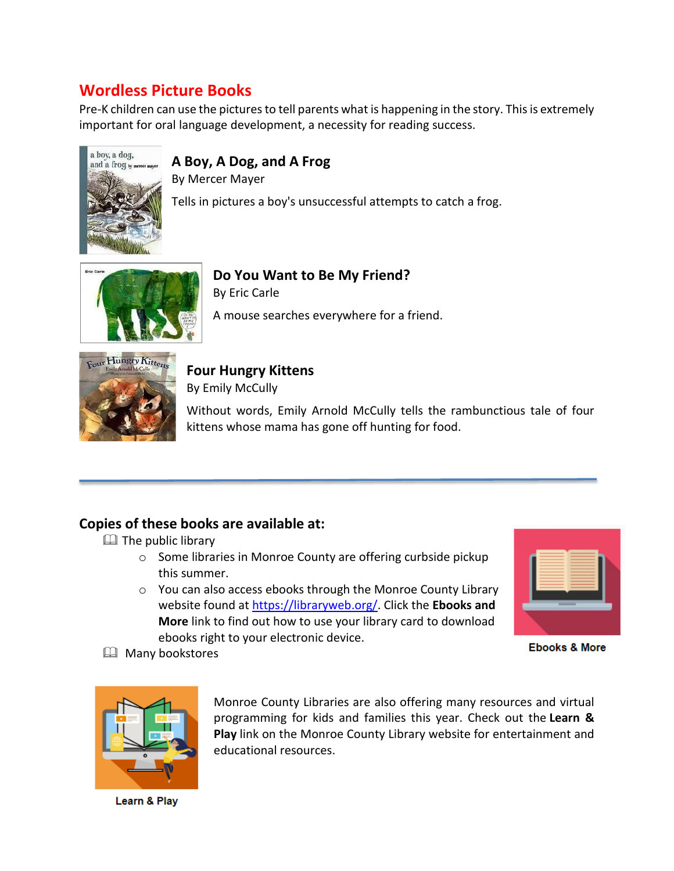## **Wordless Picture Books**

Pre-K children can use the pictures to tell parents what is happening in the story. This is extremely important for oral language development, a necessity for reading success.



## **A Boy, A Dog, and A Frog**

By Mercer Mayer Tells in pictures a boy's unsuccessful attempts to catch a frog.



**Do You Want to Be My Friend?**  By Eric Carle

A mouse searches everywhere for a friend.



## **Four Hungry Kittens**

By Emily McCully

Without words, Emily Arnold McCully tells the rambunctious tale of four kittens whose mama has gone off hunting for food.

## **Copies of these books are available at:**

 $\Box$  The public library

- o Some libraries in Monroe County are offering curbside pickup this summer.
- o You can also access ebooks through the Monroe County Library website found at [https://libraryweb.org/.](https://libraryweb.org/) Click the **Ebooks and More** link to find out how to use your library card to download ebooks right to your electronic device.



**Ebooks & More** 

**EQ Many bookstores** 



Monroe County Libraries are also offering many resources and virtual programming for kids and families this year. Check out the **Learn & Play** link on the Monroe County Library website for entertainment and educational resources.

Learn & Play